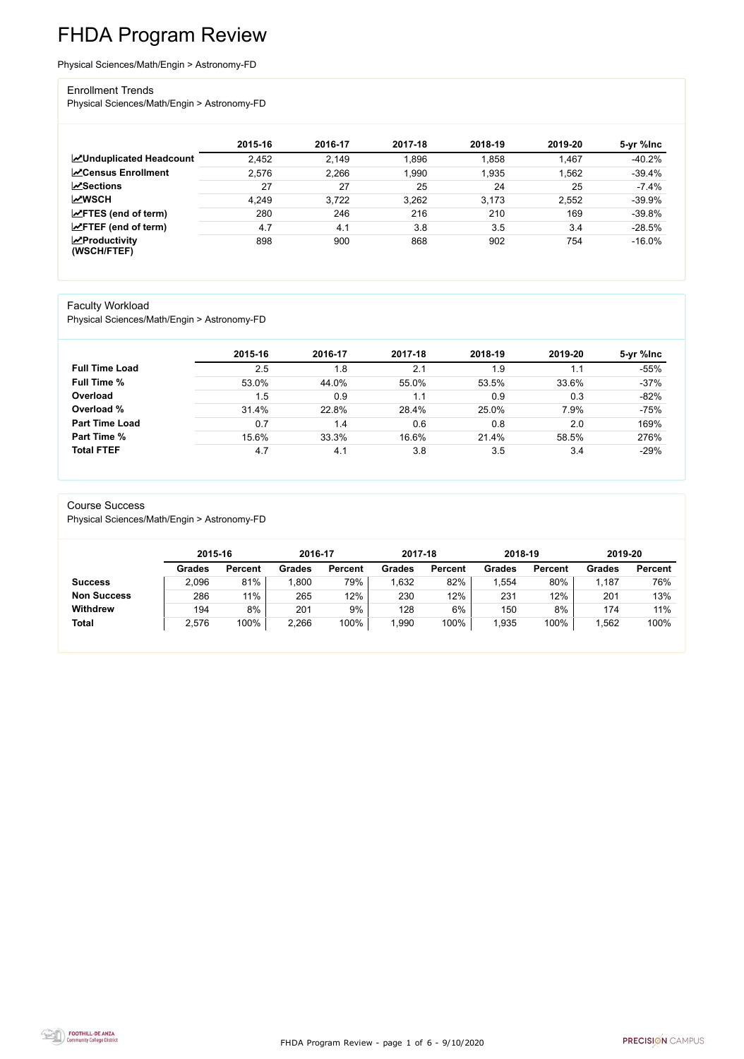FHDA Program Review - page 1 of 6 - 9/10/2020



# FHDA Program Review

Physical Sciences/Math/Engin > Astronomy-FD

#### Enrollment Trends

Physical Sciences/Math/Engin > Astronomy-FD

|                                          | 2015-16 | 2016-17 | 2017-18 | 2018-19 | 2019-20 | 5-yr %lnc |
|------------------------------------------|---------|---------|---------|---------|---------|-----------|
| <b>ZUnduplicated Headcount</b>           | 2,452   | 2,149   | 1,896   | 1,858   | 1,467   | $-40.2%$  |
| <b>∠</b> Census Enrollment               | 2,576   | 2,266   | 1,990   | 1,935   | 1,562   | $-39.4%$  |
| $\sqrt{S}$ ections                       | 27      | 27      | 25      | 24      | 25      | $-7.4%$   |
| <b>MWSCH</b>                             | 4,249   | 3,722   | 3,262   | 3,173   | 2,552   | $-39.9%$  |
| $\angle$ FTES (end of term)              | 280     | 246     | 216     | 210     | 169     | $-39.8%$  |
| $\angle$ FTEF (end of term)              | 4.7     | 4.1     | 3.8     | 3.5     | 3.4     | $-28.5%$  |
| $\mathbf{Z}$ Productivity<br>(WSCH/FTEF) | 898     | 900     | 868     | 902     | 754     | $-16.0\%$ |

#### Faculty Workload

Physical Sciences/Math/Engin > Astronomy-FD

|                       | 2015-16 | 2016-17 | 2017-18 | 2018-19 | 2019-20 | 5-yr %lnc |
|-----------------------|---------|---------|---------|---------|---------|-----------|
| <b>Full Time Load</b> | 2.5     | 1.8     | 2.1     | 1.9     | 1.1     | $-55%$    |
| <b>Full Time %</b>    | 53.0%   | 44.0%   | 55.0%   | 53.5%   | 33.6%   | $-37%$    |
| Overload              | 1.5     | 0.9     | 1.1     | 0.9     | 0.3     | $-82%$    |
| Overload %            | 31.4%   | 22.8%   | 28.4%   | 25.0%   | 7.9%    | $-75%$    |
| <b>Part Time Load</b> | 0.7     | 1.4     | 0.6     | 0.8     | 2.0     | 169%      |
| <b>Part Time %</b>    | 15.6%   | 33.3%   | 16.6%   | 21.4%   | 58.5%   | 276%      |
| <b>Total FTEF</b>     | 4.7     | 4.1     | 3.8     | 3.5     | 3.4     | $-29%$    |

#### Course Success

Physical Sciences/Math/Engin > Astronomy-FD

|                    |               | 2015-16        |               | 2016-17        | 2017-18       |                | 2018-19       |                | 2019-20       |                |
|--------------------|---------------|----------------|---------------|----------------|---------------|----------------|---------------|----------------|---------------|----------------|
|                    | <b>Grades</b> | <b>Percent</b> | <b>Grades</b> | <b>Percent</b> | <b>Grades</b> | <b>Percent</b> | <b>Grades</b> | <b>Percent</b> | <b>Grades</b> | <b>Percent</b> |
| <b>Success</b>     | 2,096         | 81%            | ,800          | 79%            | ,632          | 82%            | ,554          | 80%            | 1,187         | 76%            |
| <b>Non Success</b> | 286           | 11%            | 265           | 12%            | 230           | 12%            | 231           | 12%            | 201           | 13%            |
| <b>Withdrew</b>    | 194           | 8%             | 201           | 9%             | 128           | $6\%$          | 150           | 8%             | 174           | 11%            |
| <b>Total</b>       | 2,576         | 100%           | 2,266         | 100%           | ,990          | 100%           | ,935          | 100%           | 1,562         | 100%           |

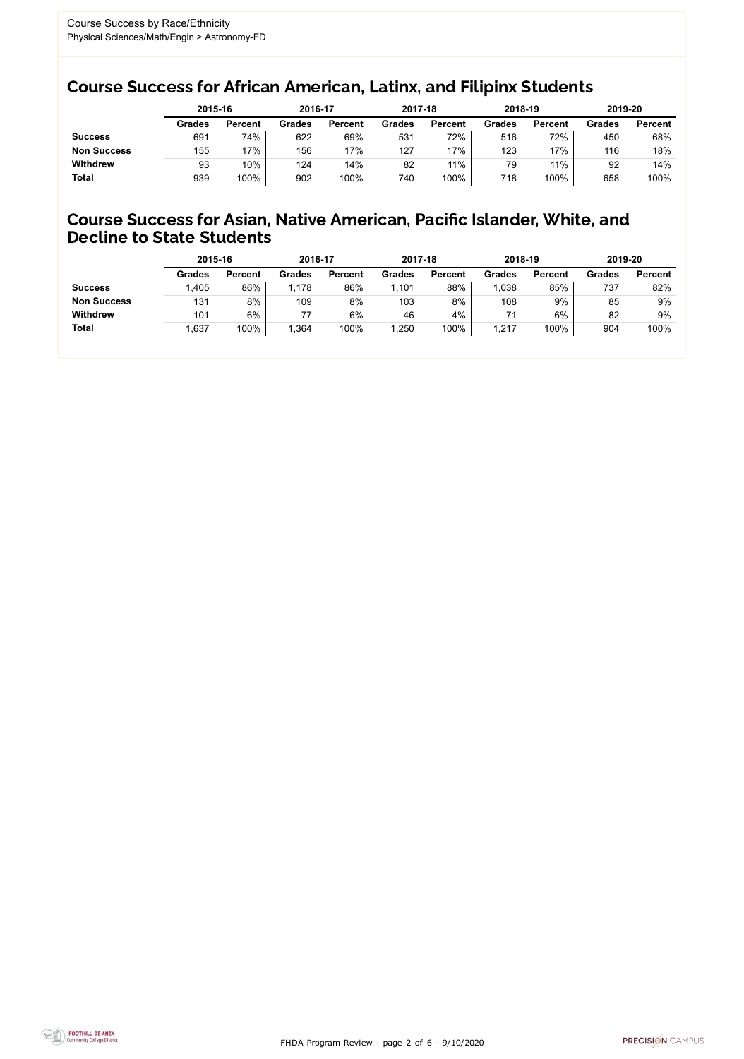FHDA Program Review - page 2 of 6 - 9/10/2020



### Course Success for African American, Latinx, and Filipinx Students

### Course Success for Asian, Native American, Pacific Islander, White, and Decline to State Students

|                    |               | 2015-16        |               | 2016-17        |               | 2017-18        | 2018-19       |                | 2019-20       |                |
|--------------------|---------------|----------------|---------------|----------------|---------------|----------------|---------------|----------------|---------------|----------------|
|                    | <b>Grades</b> | <b>Percent</b> | <b>Grades</b> | <b>Percent</b> | <b>Grades</b> | <b>Percent</b> | <b>Grades</b> | <b>Percent</b> | <b>Grades</b> | <b>Percent</b> |
| <b>Success</b>     | 691           | 74%            | 622           | 69%            | 531           | 72%            | 516           | 72%            | 450           | 68%            |
| <b>Non Success</b> | 155           | 17%            | 156           | 17%            | 127           | '7%            | 123           | 17%            | 116           | 18%            |
| <b>Withdrew</b>    | 93            | 10%            | 124           | 14%            | 82            | 11%            | 79            | $11\%$         | 92            | 14%            |
| <b>Total</b>       | 939           | 100%           | 902           | 100%           | 740           | 100%           | 718           | 100%           | 658           | 100%           |

|                    | 2015-16       |                | 2016-17       |                | 2017-18       |                | 2018-19       |                | 2019-20       |                |
|--------------------|---------------|----------------|---------------|----------------|---------------|----------------|---------------|----------------|---------------|----------------|
|                    | <b>Grades</b> | <b>Percent</b> | <b>Grades</b> | <b>Percent</b> | <b>Grades</b> | <b>Percent</b> | <b>Grades</b> | <b>Percent</b> | <b>Grades</b> | <b>Percent</b> |
| <b>Success</b>     | .405          | 86%            | 1,178         | 86%            | .101          | 88%            | .038          | 85%            | 737           | 82%            |
| <b>Non Success</b> | 131           | 8%             | 109           | 8%             | 103           | 8%             | 108           | 9%             | 85            | 9%             |
| <b>Withdrew</b>    | 101           | 6%             |               | $6\%$          | 46            | 4%             | 71            | 6%             | 82            | 9%             |
| <b>Total</b>       | 1,637         | 100%           | 1,364         | 100%           | ,250          | 100%           | 1,217         | 100%           | 904           | 100%           |
|                    |               |                |               |                |               |                |               |                |               |                |

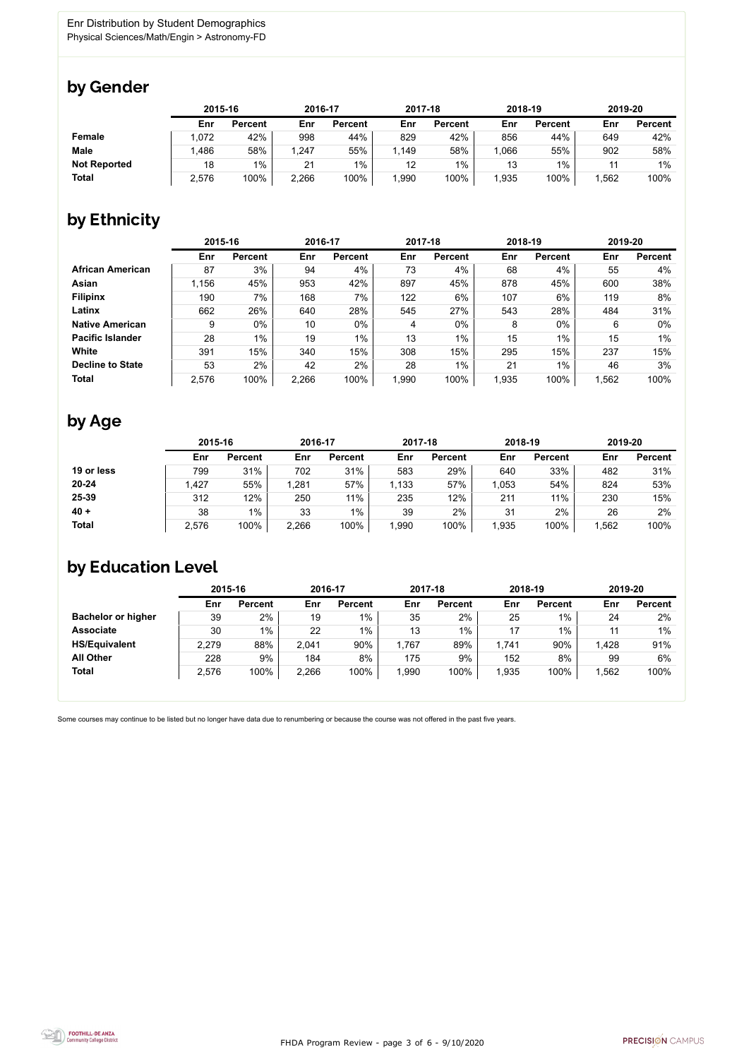

Some courses may continue to be listed but no longer have data due to renumbering or because the course was not offered in the past five years.



### by Gender

|                     | 2015-16 |                | 2016-17 |                | 2017-18 |                | 2018-19 |                | 2019-20 |                |
|---------------------|---------|----------------|---------|----------------|---------|----------------|---------|----------------|---------|----------------|
|                     | Enr     | <b>Percent</b> | Enr     | <b>Percent</b> | Enr     | <b>Percent</b> | Enr     | <b>Percent</b> | Enr     | <b>Percent</b> |
| <b>Female</b>       | 1,072   | 42%            | 998     | 44%            | 829     | 42%            | 856     | 44%            | 649     | 42%            |
| <b>Male</b>         | l.486   | 58%            | , 247   | 55%            | 1,149   | 58%            | .066    | 55%            | 902     | 58%            |
| <b>Not Reported</b> | 18      | $1\%$          | 21      | $1\%$          | 12      | $1\%$          | 13      | 1%             |         | $1\%$          |
| <b>Total</b>        | 2,576   | 100%           | 2,266   | 100%           | 1,990   | 100%           | 1,935   | 100%           | ,562    | 100%           |

### by Ethnicity

|                         | 2015-16 |                |       | 2016-17        |       | 2017-18        | 2018-19 |                | 2019-20 |                |
|-------------------------|---------|----------------|-------|----------------|-------|----------------|---------|----------------|---------|----------------|
|                         | Enr     | <b>Percent</b> | Enr   | <b>Percent</b> | Enr   | <b>Percent</b> | Enr     | <b>Percent</b> | Enr     | <b>Percent</b> |
| <b>African American</b> | 87      | 3%             | 94    | 4%             | 73    | 4%             | 68      | 4%             | 55      | 4%             |
| <b>Asian</b>            | 1,156   | 45%            | 953   | 42%            | 897   | 45%            | 878     | 45%            | 600     | 38%            |
| <b>Filipinx</b>         | 190     | 7%             | 168   | 7%             | 122   | 6%             | 107     | 6%             | 119     | 8%             |
| Latinx                  | 662     | 26%            | 640   | 28%            | 545   | 27%            | 543     | 28%            | 484     | 31%            |
| <b>Native American</b>  | 9       | $0\%$          | 10    | $0\%$          | 4     | $0\%$          | 8       | $0\%$          | 6       | 0%             |
| <b>Pacific Islander</b> | 28      | $1\%$          | 19    | $1\%$          | 13    | $1\%$          | 15      | $1\%$          | 15      | 1%             |
| White                   | 391     | 15%            | 340   | 15%            | 308   | 15%            | 295     | 15%            | 237     | 15%            |
| <b>Decline to State</b> | 53      | 2%             | 42    | 2%             | 28    | $1\%$          | 21      | 1%             | 46      | 3%             |
| <b>Total</b>            | 2,576   | 100%           | 2,266 | 100%           | 1,990 | 100%           | 1,935   | 100%           | 1,562   | 100%           |

### by Age

|              |       | 2015-16        |       | 2016-17        |       | 2017-18        | 2018-19 |                | 2019-20 |                |
|--------------|-------|----------------|-------|----------------|-------|----------------|---------|----------------|---------|----------------|
|              | Enr   | <b>Percent</b> | Enr   | <b>Percent</b> | Enr   | <b>Percent</b> | Enr     | <b>Percent</b> | Enr     | <b>Percent</b> |
| 19 or less   | 799   | 31%            | 702   | 31%            | 583   | 29%            | 640     | 33%            | 482     | 31%            |
| $20 - 24$    | ,427  | 55%            | 1,281 | 57%            | 1,133 | 57%            | ,053    | 54%            | 824     | 53%            |
| 25-39        | 312   | 12%            | 250   | 11%            | 235   | 12%            | 211     | 11%            | 230     | 15%            |
| $40 +$       | 38    | $1\%$          | 33    | $1\%$          | 39    | 2%             | 31      | 2%             | 26      | 2%             |
| <b>Total</b> | 2,576 | 100%           | 2,266 | 100%           | ,990  | 100%           | ,935    | 100%           | ,562    | 100%           |

## by Education Level

|                           | 2015-16 |                |       | 2016-17        |      | 2017-18        | 2018-19 |                | 2019-20 |                |
|---------------------------|---------|----------------|-------|----------------|------|----------------|---------|----------------|---------|----------------|
|                           | Enr     | <b>Percent</b> | Enr   | <b>Percent</b> | Enr  | <b>Percent</b> | Enr     | <b>Percent</b> | Enr     | <b>Percent</b> |
| <b>Bachelor or higher</b> | 39      | 2%             | 19    | $1\%$          | 35   | 2%             | 25      | $1\%$          | 24      | 2%             |
| <b>Associate</b>          | 30      | $1\%$          | 22    | $1\%$          | 13   | $1\%$          | 17      | $1\%$          | 11      | $1\%$          |
| <b>HS/Equivalent</b>      | 2,279   | 88%            | 2,041 | 90%            | ,767 | 89%            | 1,741   | 90%            | 1,428   | 91%            |
| <b>All Other</b>          | 228     | 9%             | 184   | 8%             | 175  | 9%             | 152     | 8%             | 99      | 6%             |
| <b>Total</b>              | 2,576   | 100%           | 2,266 | 100%           | ,990 | 100%           | ,935    | 100%           | 1,562   | 100%           |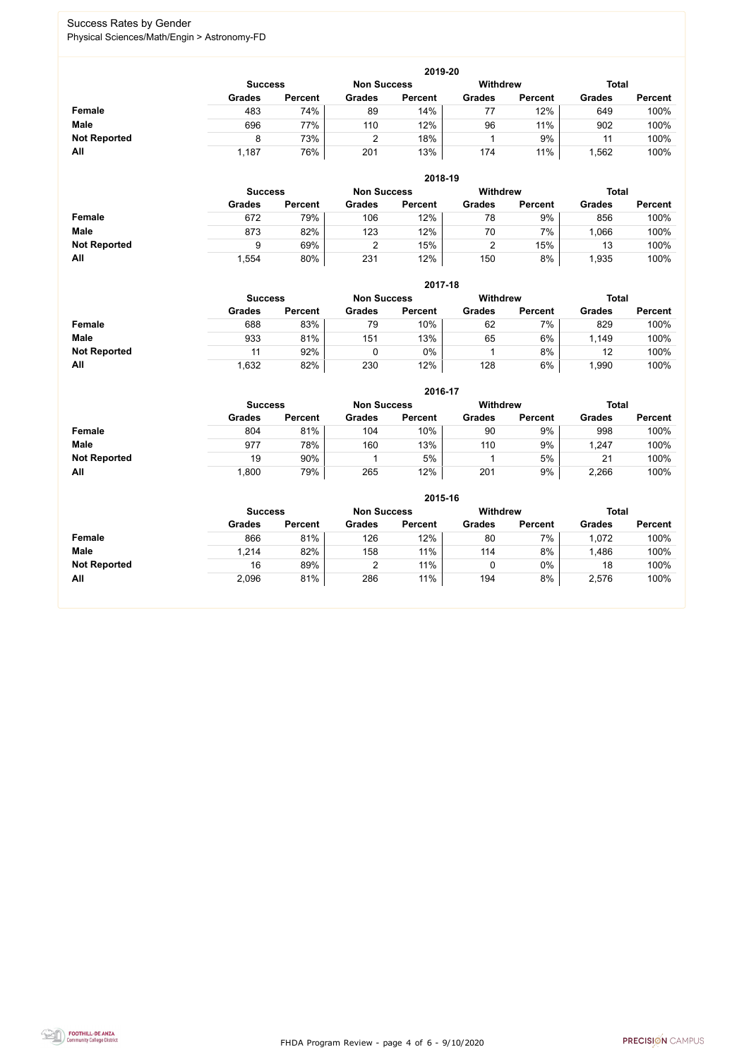FHDA Program Review - page 4 of 6 - 9/10/2020



### Success Rates by Gender Physical Sciences/Math/Engin > Astronomy-FD

|                     | 2019-20                                                                 |                |               |                |               |                |               |                |  |  |  |  |  |
|---------------------|-------------------------------------------------------------------------|----------------|---------------|----------------|---------------|----------------|---------------|----------------|--|--|--|--|--|
|                     | <b>Total</b><br><b>Withdrew</b><br><b>Success</b><br><b>Non Success</b> |                |               |                |               |                |               |                |  |  |  |  |  |
|                     | <b>Grades</b>                                                           | <b>Percent</b> | <b>Grades</b> | <b>Percent</b> | <b>Grades</b> | <b>Percent</b> | <b>Grades</b> | <b>Percent</b> |  |  |  |  |  |
| <b>Female</b>       | 483                                                                     | 74%            | 89            | 14%            | 77            | 12%            | 649           | 100%           |  |  |  |  |  |
| <b>Male</b>         | 696                                                                     | 77%            | 110           | 12%            | 96            | 11%            | 902           | 100%           |  |  |  |  |  |
| <b>Not Reported</b> |                                                                         | 73%            |               | 18%            |               | 9%             | 11            | 100%           |  |  |  |  |  |
| All                 | 1,187                                                                   | 76%            | 201           | 13%            | 174           | 11%            | ,562          | 100%           |  |  |  |  |  |

|                     |                | 2018-19        |                    |                |                 |                |               |                |  |  |  |  |  |  |
|---------------------|----------------|----------------|--------------------|----------------|-----------------|----------------|---------------|----------------|--|--|--|--|--|--|
|                     | <b>Success</b> |                | <b>Non Success</b> |                | <b>Withdrew</b> |                | <b>Total</b>  |                |  |  |  |  |  |  |
|                     | <b>Grades</b>  | <b>Percent</b> | <b>Grades</b>      | <b>Percent</b> | <b>Grades</b>   | <b>Percent</b> | <b>Grades</b> | <b>Percent</b> |  |  |  |  |  |  |
| Female              | 672            | 79%            | 106                | 12%            | 78              | 9%             | 856           | 100%           |  |  |  |  |  |  |
| <b>Male</b>         | 873            | 82%            | 123                | 12%            | 70              | 7%             | ,066          | 100%           |  |  |  |  |  |  |
| <b>Not Reported</b> | 9              | 69%            |                    | 15%            |                 | 15%            | 13            | 100%           |  |  |  |  |  |  |
| All                 | 1,554          | 80%            | 231                | 12%            | 150             | 8%             | 1,935         | 100%           |  |  |  |  |  |  |

|                     |                | 2017-18        |                    |                |                 |                |               |                |  |  |  |  |  |
|---------------------|----------------|----------------|--------------------|----------------|-----------------|----------------|---------------|----------------|--|--|--|--|--|
|                     | <b>Success</b> |                | <b>Non Success</b> |                | <b>Withdrew</b> |                |               | <b>Total</b>   |  |  |  |  |  |
|                     | <b>Grades</b>  | <b>Percent</b> | <b>Grades</b>      | <b>Percent</b> | <b>Grades</b>   | <b>Percent</b> | <b>Grades</b> | <b>Percent</b> |  |  |  |  |  |
| Female              | 688            | 83%            | 79                 | 10%            | 62              | 7%             | 829           | 100%           |  |  |  |  |  |
| <b>Male</b>         | 933            | 81%            | 151                | 13%            | 65              | 6%             | 1,149         | 100%           |  |  |  |  |  |
| <b>Not Reported</b> |                | 92%            |                    | $0\%$          |                 | 8%             | 12            | 100%           |  |  |  |  |  |
| All                 | ,632           | 82%            | 230                | 12%            | 128             | 6%             | ,990          | 100%           |  |  |  |  |  |

|                     |               | 2016-17        |               |                |                 |                |               |                |  |  |
|---------------------|---------------|----------------|---------------|----------------|-----------------|----------------|---------------|----------------|--|--|
|                     |               | <b>Success</b> |               |                | <b>Withdrew</b> |                | <b>Total</b>  |                |  |  |
|                     | <b>Grades</b> | <b>Percent</b> | <b>Grades</b> | <b>Percent</b> | <b>Grades</b>   | <b>Percent</b> | <b>Grades</b> | <b>Percent</b> |  |  |
| <b>Female</b>       | 804           | 81%            | 104           | 10%            | 90              | 9%             | 998           | 100%           |  |  |
| <b>Male</b>         | 977           | 78%            | 160           | 13%            | 110             | 9%             | 1,247         | 100%           |  |  |
| <b>Not Reported</b> | 19            | 90%            |               | 5%             |                 | 5%             | 21            | 100%           |  |  |
| All                 | 1,800         | 79%            | 265           | 12%            | 201             | 9%             | 2,266         | 100%           |  |  |

|                     | 2015-16        |                |                    |                |               |                |               |                |  |
|---------------------|----------------|----------------|--------------------|----------------|---------------|----------------|---------------|----------------|--|
|                     | <b>Success</b> |                | <b>Non Success</b> |                | Withdrew      |                | <b>Total</b>  |                |  |
|                     | <b>Grades</b>  | <b>Percent</b> | <b>Grades</b>      | <b>Percent</b> | <b>Grades</b> | <b>Percent</b> | <b>Grades</b> | <b>Percent</b> |  |
| Female              | 866            | 81%            | 126                | 12%            | 80            | 7%             | 1,072         | 100%           |  |
| <b>Male</b>         | 1,214          | 82%            | 158                | 11%            | 114           | 8%             | ,486          | 100%           |  |
| <b>Not Reported</b> | 16             | 89%            |                    | 11%            | υ             | $0\%$          | 18            | 100%           |  |
| All                 | 2,096          | 81%            | 286                | 11%            | 194           | 8%             | 2,576         | 100%           |  |

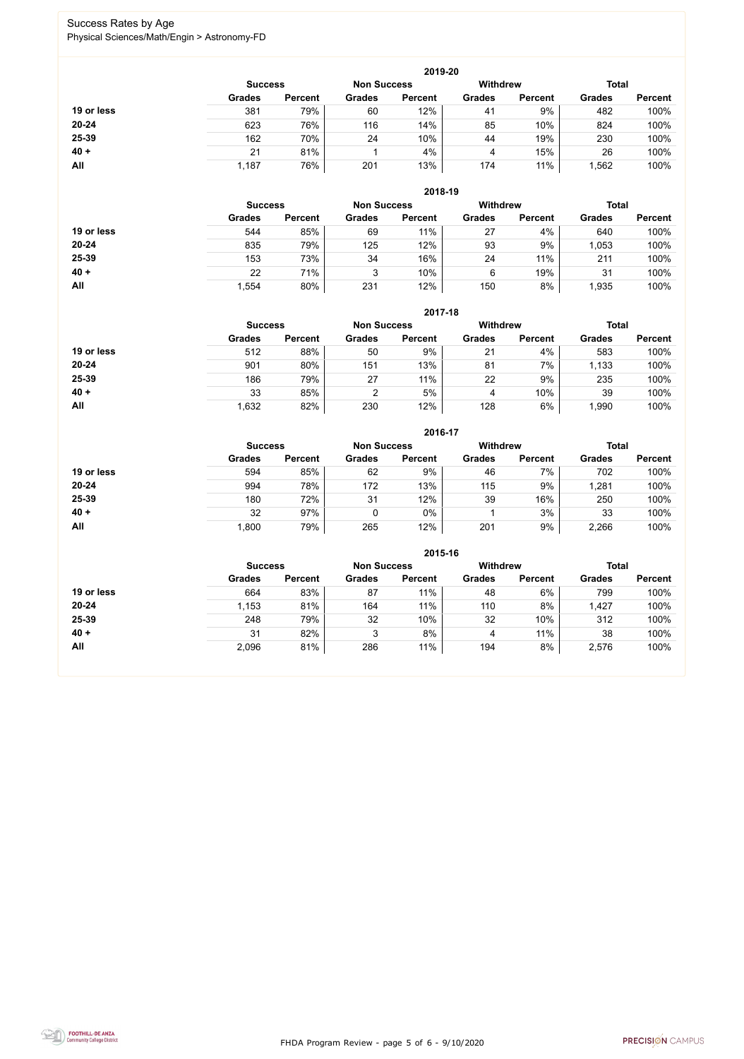FHDA Program Review - page 5 of 6 - 9/10/2020



### Success Rates by Age Physical Sciences/Math/Engin > Astronomy-FD

|            |                |                |                    | 2019-20        |                 |                |               |                |  |
|------------|----------------|----------------|--------------------|----------------|-----------------|----------------|---------------|----------------|--|
|            | <b>Success</b> |                | <b>Non Success</b> |                | <b>Withdrew</b> |                |               | <b>Total</b>   |  |
|            | <b>Grades</b>  | <b>Percent</b> | <b>Grades</b>      | <b>Percent</b> | <b>Grades</b>   | <b>Percent</b> | <b>Grades</b> | <b>Percent</b> |  |
| 19 or less | 381            | 79%            | 60                 | 12%            | 41              | 9%             | 482           | 100%           |  |
| $20 - 24$  | 623            | 76%            | 116                | 14%            | 85              | 10%            | 824           | 100%           |  |
| 25-39      | 162            | 70%            | 24                 | 10%            | 44              | 19%            | 230           | 100%           |  |
| $40 +$     | 21             | 81%            |                    | 4%             | 4               | 15%            | 26            | 100%           |  |
| All        | 1,187          | 76%            | 201                | 13%            | 174             | 11%            | ,562          | 100%           |  |

|            |                |                |                                       | 2018-19        |               |                |               |                |
|------------|----------------|----------------|---------------------------------------|----------------|---------------|----------------|---------------|----------------|
|            | <b>Success</b> |                | <b>Withdrew</b><br><b>Non Success</b> |                |               | <b>Total</b>   |               |                |
|            | <b>Grades</b>  | <b>Percent</b> | <b>Grades</b>                         | <b>Percent</b> | <b>Grades</b> | <b>Percent</b> | <b>Grades</b> | <b>Percent</b> |
| 19 or less | 544            | 85%            | 69                                    | 11%            | 27            | 4%             | 640           | 100%           |
| $20 - 24$  | 835            | 79%            | 125                                   | 12%            | 93            | 9%             | 1,053         | 100%           |
| 25-39      | 153            | 73%            | 34                                    | 16%            | 24            | 11%            | 211           | 100%           |
| $40 +$     | 22             | 71%            | 3                                     | 10%            | 6             | 19%            | 31            | 100%           |
| All        | ,554           | 80%            | 231                                   | 12%            | 150           | 8%             | 1,935         | 100%           |

|            | 2017-18        |                    |               |                 |               |                |               |                |  |
|------------|----------------|--------------------|---------------|-----------------|---------------|----------------|---------------|----------------|--|
|            | <b>Success</b> | <b>Non Success</b> |               | <b>Withdrew</b> |               | <b>Total</b>   |               |                |  |
|            | <b>Grades</b>  | <b>Percent</b>     | <b>Grades</b> | <b>Percent</b>  | <b>Grades</b> | <b>Percent</b> | <b>Grades</b> | <b>Percent</b> |  |
| 19 or less | 512            | 88%                | 50            | 9%              | 21            | 4%             | 583           | 100%           |  |
| 20-24      | 901            | 80%                | 151           | 13%             | 81            | 7%             | 1,133         | 100%           |  |
| 25-39      | 186            | 79%                | 27            | 11%             | 22            | 9%             | 235           | 100%           |  |
| $40 +$     | 33             | 85%                | າ             | 5%              | 4             | 10%            | 39            | 100%           |  |
| All        | 1,632          | 82%                | 230           | 12%             | 128           | 6%             | ,990          | 100%           |  |

|            |                |                |               | 2016-17            |                 |                |               |                |
|------------|----------------|----------------|---------------|--------------------|-----------------|----------------|---------------|----------------|
|            | <b>Success</b> |                |               | <b>Non Success</b> | <b>Withdrew</b> |                | <b>Total</b>  |                |
|            | <b>Grades</b>  | <b>Percent</b> | <b>Grades</b> | <b>Percent</b>     | <b>Grades</b>   | <b>Percent</b> | <b>Grades</b> | <b>Percent</b> |
| 19 or less | 594            | 85%            | 62            | 9%                 | 46              | 7%             | 702           | 100%           |
| $20 - 24$  | 994            | 78%            | 172           | 13%                | 115             | 9%             | 1,281         | 100%           |
| 25-39      | 180            | 72%            | 31            | 12%                | 39              | 16%            | 250           | 100%           |
| $40 +$     | 32             | 97%            |               | $0\%$              |                 | 3%             | 33            | 100%           |
| All        | 1,800          | 79%            | 265           | 12%                | 201             | 9%             | 2,266         | 100%           |

|            |                |                    |               | 2015-16         |               |                |               |                |
|------------|----------------|--------------------|---------------|-----------------|---------------|----------------|---------------|----------------|
|            | <b>Success</b> | <b>Non Success</b> |               | <b>Withdrew</b> |               | <b>Total</b>   |               |                |
|            | <b>Grades</b>  | <b>Percent</b>     | <b>Grades</b> | <b>Percent</b>  | <b>Grades</b> | <b>Percent</b> | <b>Grades</b> | <b>Percent</b> |
| 19 or less | 664            | 83%                | 87            | 11%             | 48            | 6%             | 799           | 100%           |
| $20 - 24$  | 1,153          | 81%                | 164           | 11%             | 110           | 8%             | 1,427         | 100%           |
| 25-39      | 248            | 79%                | 32            | 10%             | 32            | 10%            | 312           | 100%           |
| $40 +$     | 31             | 82%                | J             | 8%              | 4             | 11%            | 38            | 100%           |
| All        | 2,096          | 81%                | 286           | 11%             | 194           | 8%             | 2,576         | 100%           |